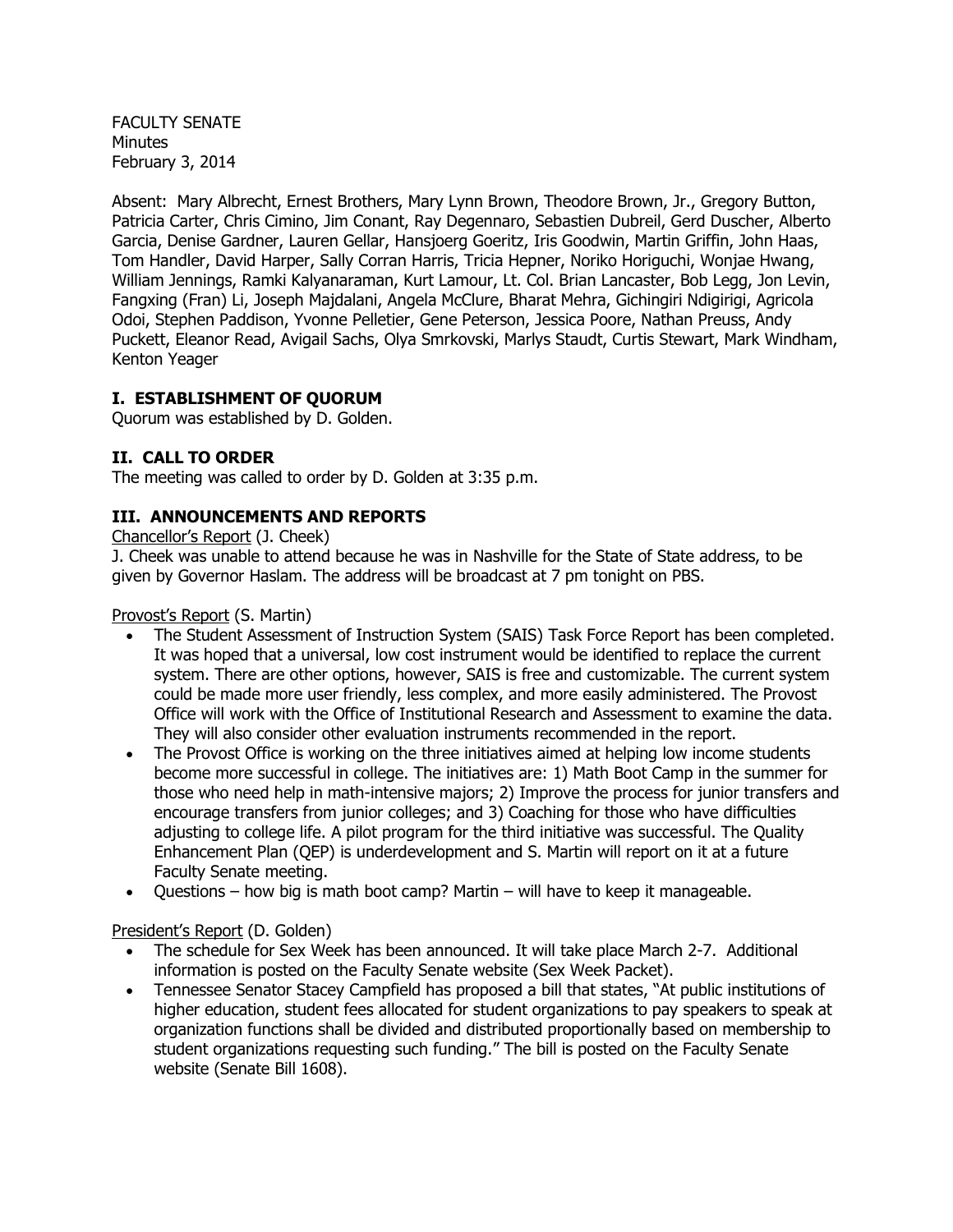FACULTY SENATE Minutes February 3, 2014

Absent: Mary Albrecht, Ernest Brothers, Mary Lynn Brown, Theodore Brown, Jr., Gregory Button, Patricia Carter, Chris Cimino, Jim Conant, Ray Degennaro, Sebastien Dubreil, Gerd Duscher, Alberto Garcia, Denise Gardner, Lauren Gellar, Hansjoerg Goeritz, Iris Goodwin, Martin Griffin, John Haas, Tom Handler, David Harper, Sally Corran Harris, Tricia Hepner, Noriko Horiguchi, Wonjae Hwang, William Jennings, Ramki Kalyanaraman, Kurt Lamour, Lt. Col. Brian Lancaster, Bob Legg, Jon Levin, Fangxing (Fran) Li, Joseph Majdalani, Angela McClure, Bharat Mehra, Gichingiri Ndigirigi, Agricola Odoi, Stephen Paddison, Yvonne Pelletier, Gene Peterson, Jessica Poore, Nathan Preuss, Andy Puckett, Eleanor Read, Avigail Sachs, Olya Smrkovski, Marlys Staudt, Curtis Stewart, Mark Windham, Kenton Yeager

# **I. ESTABLISHMENT OF QUORUM**

Quorum was established by D. Golden.

# **II. CALL TO ORDER**

The meeting was called to order by D. Golden at 3:35 p.m.

# **III. ANNOUNCEMENTS AND REPORTS**

Chancellor's Report (J. Cheek)

J. Cheek was unable to attend because he was in Nashville for the State of State address, to be given by Governor Haslam. The address will be broadcast at 7 pm tonight on PBS.

Provost's Report (S. Martin)

- The Student Assessment of Instruction System (SAIS) Task Force Report has been completed. It was hoped that a universal, low cost instrument would be identified to replace the current system. There are other options, however, SAIS is free and customizable. The current system could be made more user friendly, less complex, and more easily administered. The Provost Office will work with the Office of Institutional Research and Assessment to examine the data. They will also consider other evaluation instruments recommended in the report.
- The Provost Office is working on the three initiatives aimed at helping low income students become more successful in college. The initiatives are: 1) Math Boot Camp in the summer for those who need help in math-intensive majors; 2) Improve the process for junior transfers and encourage transfers from junior colleges; and 3) Coaching for those who have difficulties adjusting to college life. A pilot program for the third initiative was successful. The Quality Enhancement Plan (QEP) is underdevelopment and S. Martin will report on it at a future Faculty Senate meeting.
- Questions how big is math boot camp? Martin will have to keep it manageable.

## President's Report (D. Golden)

- The schedule for Sex Week has been announced. It will take place March 2-7. Additional information is posted on the Faculty Senate website (Sex Week Packet).
- Tennessee Senator Stacey Campfield has proposed a bill that states, "At public institutions of higher education, student fees allocated for student organizations to pay speakers to speak at organization functions shall be divided and distributed proportionally based on membership to student organizations requesting such funding." The bill is posted on the Faculty Senate website (Senate Bill 1608).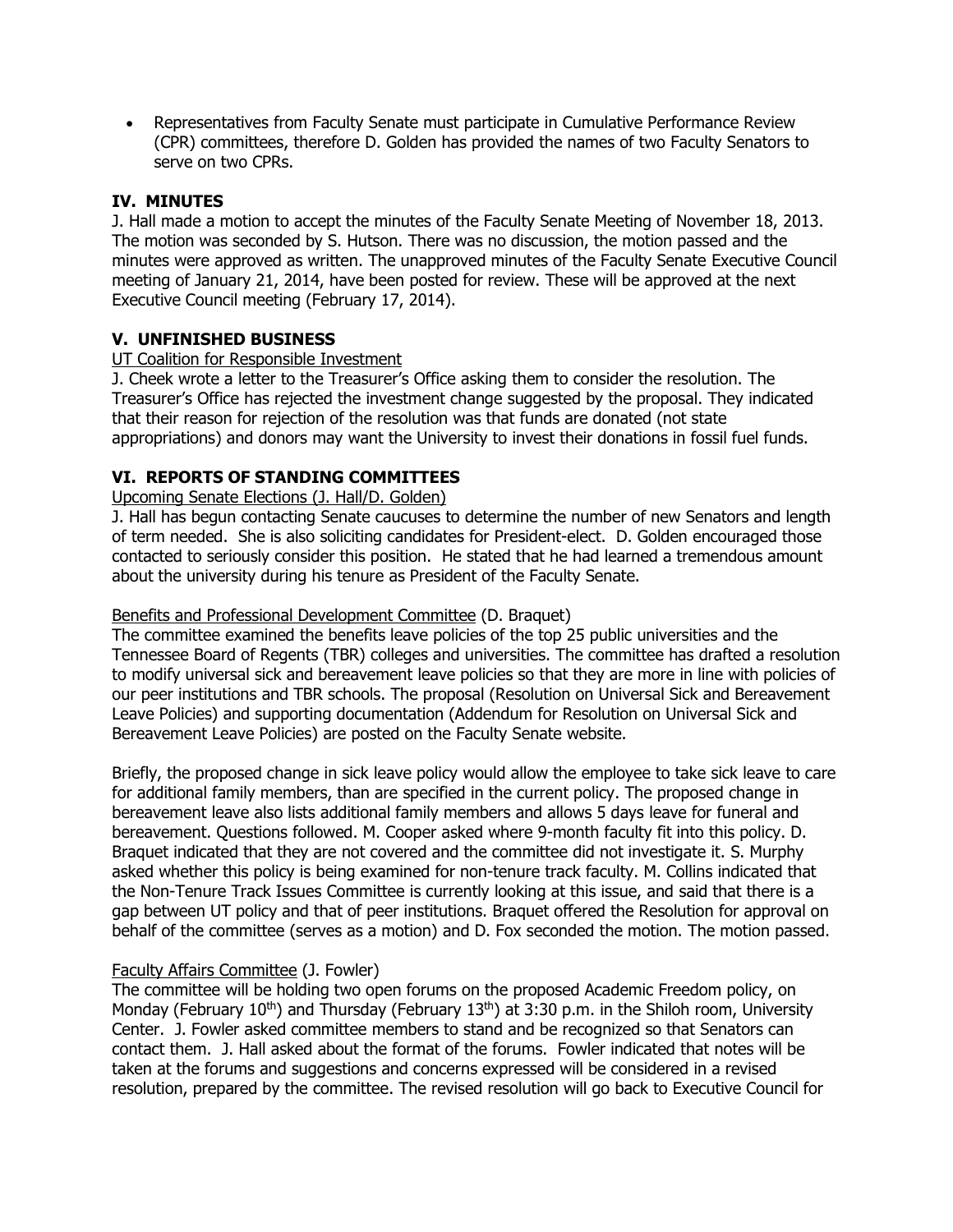Representatives from Faculty Senate must participate in Cumulative Performance Review (CPR) committees, therefore D. Golden has provided the names of two Faculty Senators to serve on two CPRs.

## **IV. MINUTES**

J. Hall made a motion to accept the minutes of the Faculty Senate Meeting of November 18, 2013. The motion was seconded by S. Hutson. There was no discussion, the motion passed and the minutes were approved as written. The unapproved minutes of the Faculty Senate Executive Council meeting of January 21, 2014, have been posted for review. These will be approved at the next Executive Council meeting (February 17, 2014).

## **V. UNFINISHED BUSINESS**

## UT Coalition for Responsible Investment

J. Cheek wrote a letter to the Treasurer's Office asking them to consider the resolution. The Treasurer's Office has rejected the investment change suggested by the proposal. They indicated that their reason for rejection of the resolution was that funds are donated (not state appropriations) and donors may want the University to invest their donations in fossil fuel funds.

## **VI. REPORTS OF STANDING COMMITTEES**

#### Upcoming Senate Elections (J. Hall/D. Golden)

J. Hall has begun contacting Senate caucuses to determine the number of new Senators and length of term needed. She is also soliciting candidates for President-elect. D. Golden encouraged those contacted to seriously consider this position. He stated that he had learned a tremendous amount about the university during his tenure as President of the Faculty Senate.

#### Benefits and Professional Development Committee (D. Braquet)

The committee examined the benefits leave policies of the top 25 public universities and the Tennessee Board of Regents (TBR) colleges and universities. The committee has drafted a resolution to modify universal sick and bereavement leave policies so that they are more in line with policies of our peer institutions and TBR schools. The proposal (Resolution on Universal Sick and Bereavement Leave Policies) and supporting documentation (Addendum for Resolution on Universal Sick and Bereavement Leave Policies) are posted on the Faculty Senate website.

Briefly, the proposed change in sick leave policy would allow the employee to take sick leave to care for additional family members, than are specified in the current policy. The proposed change in bereavement leave also lists additional family members and allows 5 days leave for funeral and bereavement. Questions followed. M. Cooper asked where 9-month faculty fit into this policy. D. Braquet indicated that they are not covered and the committee did not investigate it. S. Murphy asked whether this policy is being examined for non-tenure track faculty. M. Collins indicated that the Non-Tenure Track Issues Committee is currently looking at this issue, and said that there is a gap between UT policy and that of peer institutions. Braquet offered the Resolution for approval on behalf of the committee (serves as a motion) and D. Fox seconded the motion. The motion passed.

#### Faculty Affairs Committee (J. Fowler)

The committee will be holding two open forums on the proposed Academic Freedom policy, on Monday (February 10<sup>th</sup>) and Thursday (February 13<sup>th</sup>) at 3:30 p.m. in the Shiloh room, University Center. J. Fowler asked committee members to stand and be recognized so that Senators can contact them. J. Hall asked about the format of the forums. Fowler indicated that notes will be taken at the forums and suggestions and concerns expressed will be considered in a revised resolution, prepared by the committee. The revised resolution will go back to Executive Council for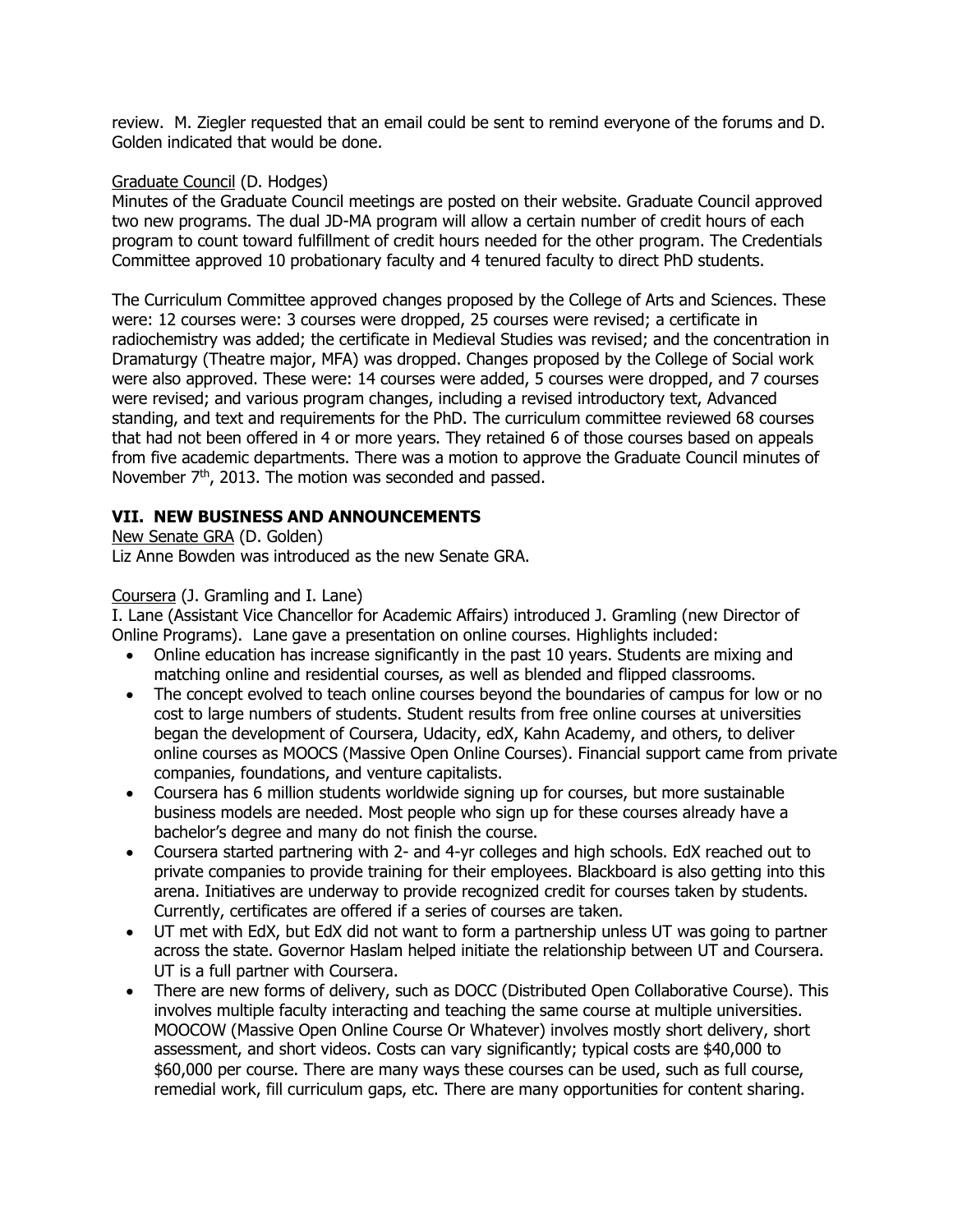review. M. Ziegler requested that an email could be sent to remind everyone of the forums and D. Golden indicated that would be done.

#### Graduate Council (D. Hodges)

Minutes of the Graduate Council meetings are posted on their website. Graduate Council approved two new programs. The dual JD-MA program will allow a certain number of credit hours of each program to count toward fulfillment of credit hours needed for the other program. The Credentials Committee approved 10 probationary faculty and 4 tenured faculty to direct PhD students.

The Curriculum Committee approved changes proposed by the College of Arts and Sciences. These were: 12 courses were: 3 courses were dropped, 25 courses were revised; a certificate in radiochemistry was added; the certificate in Medieval Studies was revised; and the concentration in Dramaturgy (Theatre major, MFA) was dropped. Changes proposed by the College of Social work were also approved. These were: 14 courses were added, 5 courses were dropped, and 7 courses were revised; and various program changes, including a revised introductory text, Advanced standing, and text and requirements for the PhD. The curriculum committee reviewed 68 courses that had not been offered in 4 or more years. They retained 6 of those courses based on appeals from five academic departments. There was a motion to approve the Graduate Council minutes of November 7<sup>th</sup>, 2013. The motion was seconded and passed.

# **VII. NEW BUSINESS AND ANNOUNCEMENTS**

New Senate GRA (D. Golden) Liz Anne Bowden was introduced as the new Senate GRA.

## Coursera (J. Gramling and I. Lane)

I. Lane (Assistant Vice Chancellor for Academic Affairs) introduced J. Gramling (new Director of Online Programs). Lane gave a presentation on online courses. Highlights included:

- Online education has increase significantly in the past 10 years. Students are mixing and matching online and residential courses, as well as blended and flipped classrooms.
- The concept evolved to teach online courses beyond the boundaries of campus for low or no cost to large numbers of students. Student results from free online courses at universities began the development of Coursera, Udacity, edX, Kahn Academy, and others, to deliver online courses as MOOCS (Massive Open Online Courses). Financial support came from private companies, foundations, and venture capitalists.
- Coursera has 6 million students worldwide signing up for courses, but more sustainable business models are needed. Most people who sign up for these courses already have a bachelor's degree and many do not finish the course.
- Coursera started partnering with 2- and 4-yr colleges and high schools. EdX reached out to private companies to provide training for their employees. Blackboard is also getting into this arena. Initiatives are underway to provide recognized credit for courses taken by students. Currently, certificates are offered if a series of courses are taken.
- UT met with EdX, but EdX did not want to form a partnership unless UT was going to partner across the state. Governor Haslam helped initiate the relationship between UT and Coursera. UT is a full partner with Coursera.
- There are new forms of delivery, such as DOCC (Distributed Open Collaborative Course). This involves multiple faculty interacting and teaching the same course at multiple universities. MOOCOW (Massive Open Online Course Or Whatever) involves mostly short delivery, short assessment, and short videos. Costs can vary significantly; typical costs are \$40,000 to \$60,000 per course. There are many ways these courses can be used, such as full course, remedial work, fill curriculum gaps, etc. There are many opportunities for content sharing.